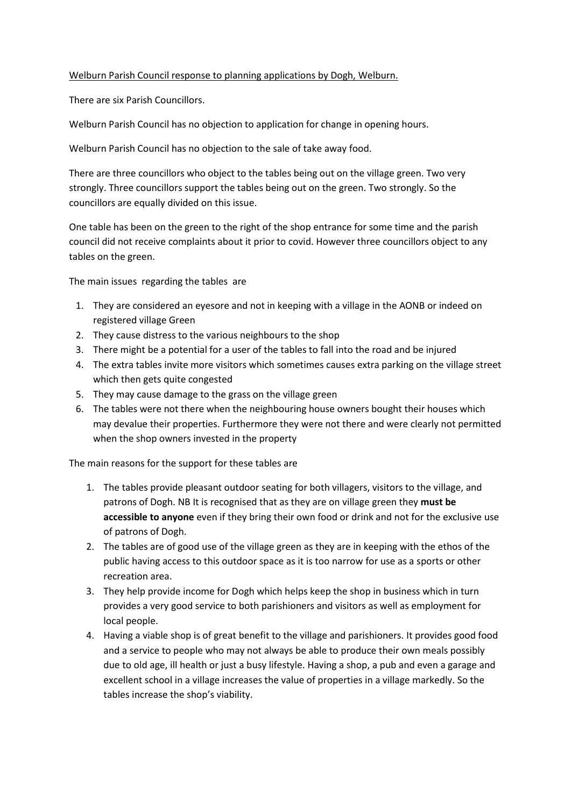## Welburn Parish Council response to planning applications by Dogh, Welburn.

There are six Parish Councillors.

Welburn Parish Council has no objection to application for change in opening hours.

Welburn Parish Council has no objection to the sale of take away food.

There are three councillors who object to the tables being out on the village green. Two very strongly. Three councillors support the tables being out on the green. Two strongly. So the councillors are equally divided on this issue.

One table has been on the green to the right of the shop entrance for some time and the parish council did not receive complaints about it prior to covid. However three councillors object to any tables on the green.

The main issues regarding the tables are

- 1. They are considered an eyesore and not in keeping with a village in the AONB or indeed on registered village Green
- 2. They cause distress to the various neighbours to the shop
- 3. There might be a potential for a user of the tables to fall into the road and be injured
- 4. The extra tables invite more visitors which sometimes causes extra parking on the village street which then gets quite congested
- 5. They may cause damage to the grass on the village green
- 6. The tables were not there when the neighbouring house owners bought their houses which may devalue their properties. Furthermore they were not there and were clearly not permitted when the shop owners invested in the property

The main reasons for the support for these tables are

- 1. The tables provide pleasant outdoor seating for both villagers, visitors to the village, and patrons of Dogh. NB It is recognised that as they are on village green they **must be accessible to anyone** even if they bring their own food or drink and not for the exclusive use of patrons of Dogh.
- 2. The tables are of good use of the village green as they are in keeping with the ethos of the public having access to this outdoor space as it is too narrow for use as a sports or other recreation area.
- 3. They help provide income for Dogh which helps keep the shop in business which in turn provides a very good service to both parishioners and visitors as well as employment for local people.
- 4. Having a viable shop is of great benefit to the village and parishioners. It provides good food and a service to people who may not always be able to produce their own meals possibly due to old age, ill health or just a busy lifestyle. Having a shop, a pub and even a garage and excellent school in a village increases the value of properties in a village markedly. So the tables increase the shop's viability.